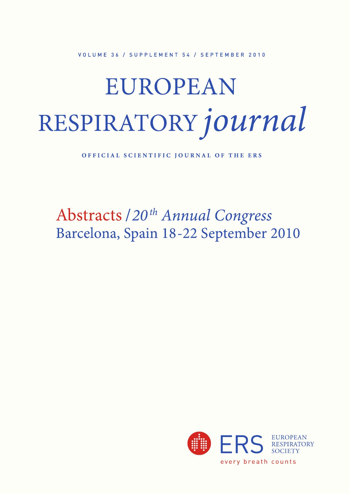VOLUME 36 / SUPPLEMENT 54 / SEPTEMBER 2010

## EUROPEAN RESPIRATORY journal

OFFICIAL SCIENTIFIC JOURNAL OF THE ERS

Abstracts / 20<sup>th</sup> Annual Congress Barcelona, Spain 18-22 September 2010